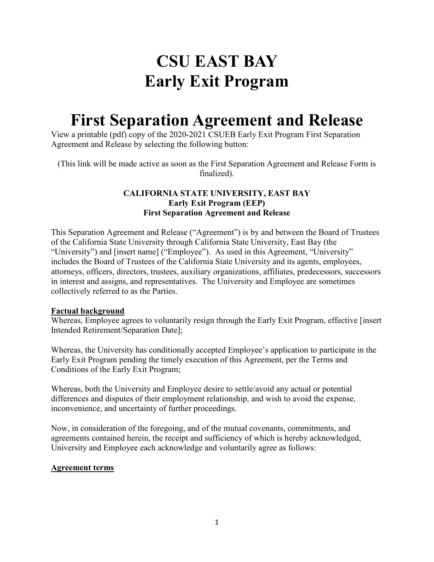# **CSU EAST BAY Early Exit Program**

## **First Separation Agreement and Release**

View a printable (pdf) copy of the 2020-2021 CSUEB Early Exit Program First Separation Agreement and Release by selecting the following button:

(This link will be made active as soon as the First Separation Agreement and Release Form is finalized).

### **CALIFORNIA STATE UNIVERSITY, EAST BAY Early Exit Program (EEP) First Separation Agreement and Release**

This Separation Agreement and Release ("Agreement") is by and between the Board of Trustees of the California State University through California State University, East Bay (the "University") and [insert name] ("Employee"). As used in this Agreement, "University" includes the Board of Trustees of the California State University and its agents, employees, attorneys, officers, directors, trustees, auxiliary organizations, affiliates, predecessors, successors in interest and assigns, and representatives. The University and Employee are sometimes collectively referred to as the Parties.

### **Factual background**

Whereas, Employee agrees to voluntarily resign through the Early Exit Program, effective [insert Intended Retirement/Separation Date];

Whereas, the University has conditionally accepted Employee's application to participate in the Early Exit Program pending the timely execution of this Agreement, per the Terms and Conditions of the Early Exit Program;

Whereas, both the University and Employee desire to settle/avoid any actual or potential differences and disputes of their employment relationship, and wish to avoid the expense, inconvenience, and uncertainty of further proceedings.

Now, in consideration of the foregoing, and of the mutual covenants, commitments, and agreements contained herein, the receipt and sufficiency of which is hereby acknowledged, University and Employee each acknowledge and voluntarily agree as follows:

### **Agreement terms**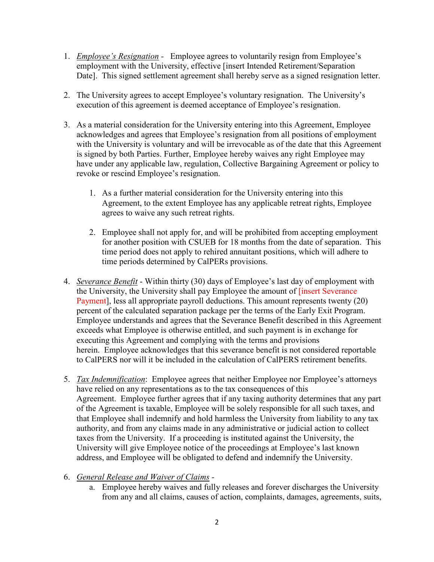- 1. *Employee's Resignation -*Employee agrees to voluntarily resign from Employee's employment with the University, effective [insert Intended Retirement/Separation Date]. This signed settlement agreement shall hereby serve as a signed resignation letter.
- 2. The University agrees to accept Employee's voluntary resignation. The University's execution of this agreement is deemed acceptance of Employee's resignation.
- 3. As a material consideration for the University entering into this Agreement, Employee acknowledges and agrees that Employee's resignation from all positions of employment with the University is voluntary and will be irrevocable as of the date that this Agreement is signed by both Parties. Further, Employee hereby waives any right Employee may have under any applicable law, regulation, Collective Bargaining Agreement or policy to revoke or rescind Employee's resignation.
	- 1. As a further material consideration for the University entering into this Agreement, to the extent Employee has any applicable retreat rights, Employee agrees to waive any such retreat rights.
	- 2. Employee shall not apply for, and will be prohibited from accepting employment for another position with CSUEB for 18 months from the date of separation. This time period does not apply to rehired annuitant positions, which will adhere to time periods determined by CalPERs provisions.
- 4. *Severance Benefit* Within thirty (30) days of Employee's last day of employment with the University, the University shall pay Employee the amount of *[insert Severance* Payment], less all appropriate payroll deductions. This amount represents twenty (20) percent of the calculated separation package per the terms of the Early Exit Program. Employee understands and agrees that the Severance Benefit described in this Agreement exceeds what Employee is otherwise entitled, and such payment is in exchange for executing this Agreement and complying with the terms and provisions herein. Employee acknowledges that this severance benefit is not considered reportable to CalPERS nor will it be included in the calculation of CalPERS retirement benefits.
- 5. *Tax Indemnification*: Employee agrees that neither Employee nor Employee's attorneys have relied on any representations as to the tax consequences of this Agreement. Employee further agrees that if any taxing authority determines that any part of the Agreement is taxable, Employee will be solely responsible for all such taxes, and that Employee shall indemnify and hold harmless the University from liability to any tax authority, and from any claims made in any administrative or judicial action to collect taxes from the University. If a proceeding is instituted against the University, the University will give Employee notice of the proceedings at Employee's last known address, and Employee will be obligated to defend and indemnify the University.

### 6. *General Release and Waiver of Claims -*

a. Employee hereby waives and fully releases and forever discharges the University from any and all claims, causes of action, complaints, damages, agreements, suits,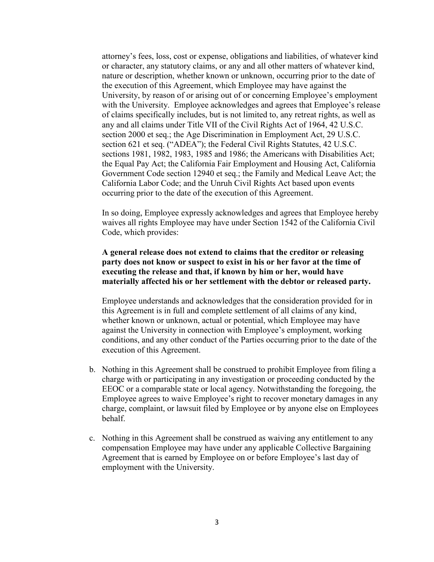attorney's fees, loss, cost or expense, obligations and liabilities, of whatever kind or character, any statutory claims, or any and all other matters of whatever kind, nature or description, whether known or unknown, occurring prior to the date of the execution of this Agreement, which Employee may have against the University, by reason of or arising out of or concerning Employee's employment with the University. Employee acknowledges and agrees that Employee's release of claims specifically includes, but is not limited to, any retreat rights, as well as any and all claims under Title VII of the Civil Rights Act of 1964, 42 U.S.C. section 2000 et seq.; the Age Discrimination in Employment Act, 29 U.S.C. section 621 et seq. ("ADEA"); the Federal Civil Rights Statutes, 42 U.S.C. sections 1981, 1982, 1983, 1985 and 1986; the Americans with Disabilities Act; the Equal Pay Act; the California Fair Employment and Housing Act, California Government Code section 12940 et seq.; the Family and Medical Leave Act; the California Labor Code; and the Unruh Civil Rights Act based upon events occurring prior to the date of the execution of this Agreement.

In so doing, Employee expressly acknowledges and agrees that Employee hereby waives all rights Employee may have under Section 1542 of the California Civil Code, which provides:

#### **A general release does not extend to claims that the creditor or releasing party does not know or suspect to exist in his or her favor at the time of executing the release and that, if known by him or her, would have materially affected his or her settlement with the debtor or released party.**

Employee understands and acknowledges that the consideration provided for in this Agreement is in full and complete settlement of all claims of any kind, whether known or unknown, actual or potential, which Employee may have against the University in connection with Employee's employment, working conditions, and any other conduct of the Parties occurring prior to the date of the execution of this Agreement.

- b. Nothing in this Agreement shall be construed to prohibit Employee from filing a charge with or participating in any investigation or proceeding conducted by the EEOC or a comparable state or local agency. Notwithstanding the foregoing, the Employee agrees to waive Employee's right to recover monetary damages in any charge, complaint, or lawsuit filed by Employee or by anyone else on Employees behalf.
- c. Nothing in this Agreement shall be construed as waiving any entitlement to any compensation Employee may have under any applicable Collective Bargaining Agreement that is earned by Employee on or before Employee's last day of employment with the University.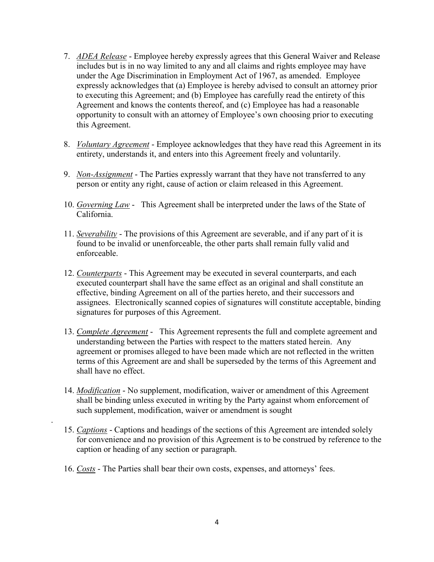- 7. *ADEA Release* Employee hereby expressly agrees that this General Waiver and Release includes but is in no way limited to any and all claims and rights employee may have under the Age Discrimination in Employment Act of 1967, as amended. Employee expressly acknowledges that (a) Employee is hereby advised to consult an attorney prior to executing this Agreement; and (b) Employee has carefully read the entirety of this Agreement and knows the contents thereof, and (c) Employee has had a reasonable opportunity to consult with an attorney of Employee's own choosing prior to executing this Agreement.
- 8. *Voluntary Agreement* Employee acknowledges that they have read this Agreement in its entirety, understands it, and enters into this Agreement freely and voluntarily.
- 9. *Non-Assignment* The Parties expressly warrant that they have not transferred to any person or entity any right, cause of action or claim released in this Agreement.
- 10. *Governing Law* This Agreement shall be interpreted under the laws of the State of California.
- 11. *Severability* The provisions of this Agreement are severable, and if any part of it is found to be invalid or unenforceable, the other parts shall remain fully valid and enforceable.
- 12. *Counterparts* This Agreement may be executed in several counterparts, and each executed counterpart shall have the same effect as an original and shall constitute an effective, binding Agreement on all of the parties hereto, and their successors and assignees. Electronically scanned copies of signatures will constitute acceptable, binding signatures for purposes of this Agreement.
- 13. *Complete Agreement* This Agreement represents the full and complete agreement and understanding between the Parties with respect to the matters stated herein. Any agreement or promises alleged to have been made which are not reflected in the written terms of this Agreement are and shall be superseded by the terms of this Agreement and shall have no effect.
- 14. *Modification* No supplement, modification, waiver or amendment of this Agreement shall be binding unless executed in writing by the Party against whom enforcement of such supplement, modification, waiver or amendment is sought
- 15. *Captions* Captions and headings of the sections of this Agreement are intended solely for convenience and no provision of this Agreement is to be construed by reference to the caption or heading of any section or paragraph.
- 16. *Costs* The Parties shall bear their own costs, expenses, and attorneys' fees.

.